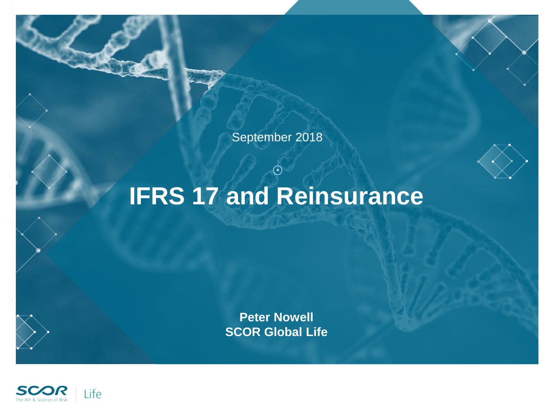

September 2018

# **IFRS 17 and Reinsurance**

C

**Peter Nowell SCOR Global Life**

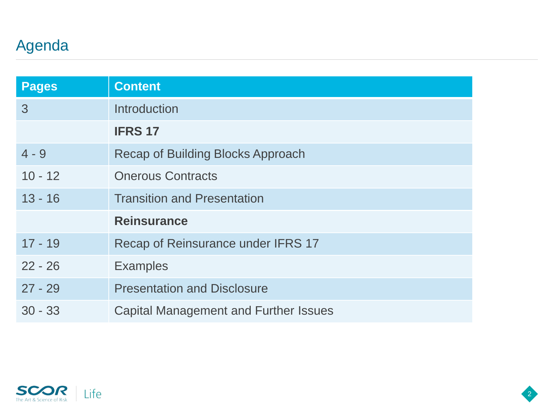## Agenda

| <b>Pages</b> | <b>Content</b>                               |
|--------------|----------------------------------------------|
| 3            | Introduction                                 |
|              | <b>IFRS 17</b>                               |
| $4 - 9$      | Recap of Building Blocks Approach            |
| $10 - 12$    | <b>Onerous Contracts</b>                     |
| $13 - 16$    | <b>Transition and Presentation</b>           |
|              | <b>Reinsurance</b>                           |
| $17 - 19$    | Recap of Reinsurance under IFRS 17           |
| $22 - 26$    | <b>Examples</b>                              |
| $27 - 29$    | <b>Presentation and Disclosure</b>           |
| $30 - 33$    | <b>Capital Management and Further Issues</b> |



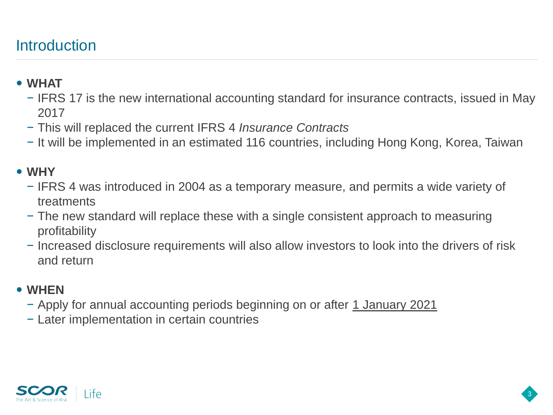### **Introduction**

#### **WHAT**

- − IFRS 17 is the new international accounting standard for insurance contracts, issued in May 2017
- − This will replaced the current IFRS 4 *Insurance Contracts*
- − It will be implemented in an estimated 116 countries, including Hong Kong, Korea, Taiwan

### **WHY**

- − IFRS 4 was introduced in 2004 as a temporary measure, and permits a wide variety of treatments
- − The new standard will replace these with a single consistent approach to measuring profitability
- − Increased disclosure requirements will also allow investors to look into the drivers of risk and return

3

#### **WHEN**

- − Apply for annual accounting periods beginning on or after 1 January 2021
- − Later implementation in certain countries

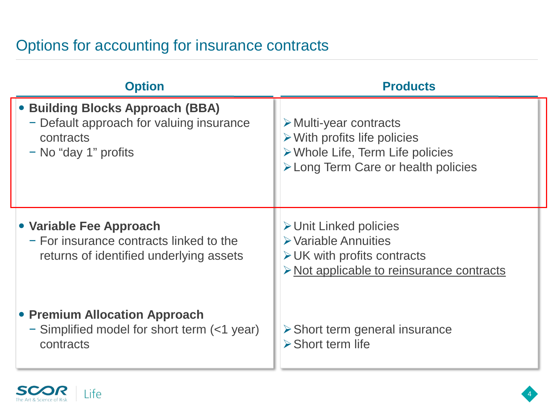### Options for accounting for insurance contracts

| <b>Option</b>                                                                                                     | <b>Products</b>                                                                                                                                                                |
|-------------------------------------------------------------------------------------------------------------------|--------------------------------------------------------------------------------------------------------------------------------------------------------------------------------|
| • Building Blocks Approach (BBA)<br>- Default approach for valuing insurance<br>contracts<br>- No "day 1" profits | $\triangleright$ Multi-year contracts<br>$\triangleright$ With profits life policies<br>$\triangleright$ Whole Life, Term Life policies<br>> Long Term Care or health policies |
| • Variable Fee Approach<br>- For insurance contracts linked to the<br>returns of identified underlying assets     | $\triangleright$ Unit Linked policies<br>$\triangleright$ Variable Annuities<br>$\triangleright$ UK with profits contracts<br>> Not applicable to reinsurance contracts        |
| • Premium Allocation Approach<br>- Simplified model for short term (<1 year)<br>contracts                         | $\triangleright$ Short term general insurance<br>$\triangleright$ Short term life                                                                                              |

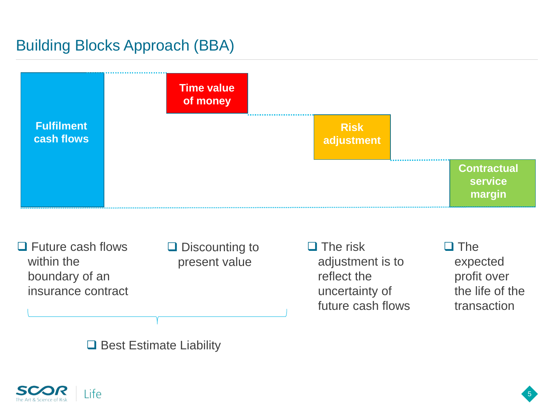### Building Blocks Approach (BBA)



□ Future cash flows within the boundary of an insurance contract  $\Box$  Discounting to present value

 $\Box$  The risk adjustment is to reflect the uncertainty of future cash flows  $\Box$  The expected profit over the life of the transaction

5

 $\Box$  Best Estimate Liability

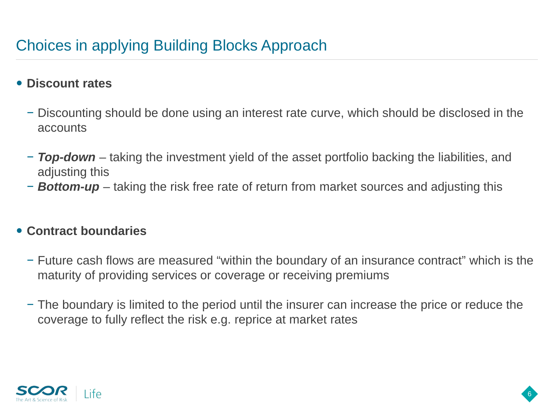### Choices in applying Building Blocks Approach

#### **Discount rates**

- − Discounting should be done using an interest rate curve, which should be disclosed in the accounts
- − *Top-down* taking the investment yield of the asset portfolio backing the liabilities, and adjusting this
- − *Bottom-up* taking the risk free rate of return from market sources and adjusting this

#### **Contract boundaries**

- − Future cash flows are measured "within the boundary of an insurance contract" which is the maturity of providing services or coverage or receiving premiums
- − The boundary is limited to the period until the insurer can increase the price or reduce the coverage to fully reflect the risk e.g. reprice at market rates

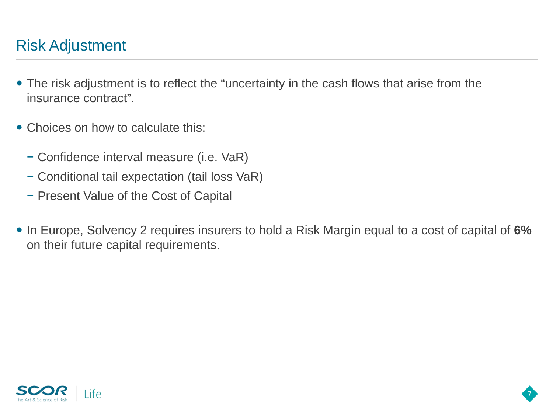### Risk Adjustment

- The risk adjustment is to reflect the "uncertainty in the cash flows that arise from the insurance contract".
- Choices on how to calculate this:
	- − Confidence interval measure (i.e. VaR)
	- − Conditional tail expectation (tail loss VaR)
	- − Present Value of the Cost of Capital
- In Europe, Solvency 2 requires insurers to hold a Risk Margin equal to a cost of capital of **6%** on their future capital requirements.

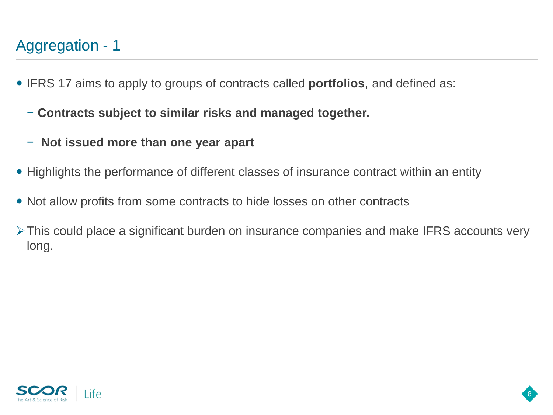### Aggregation - 1

- IFRS 17 aims to apply to groups of contracts called **portfolios**, and defined as:
	- − **Contracts subject to similar risks and managed together.**
	- − **Not issued more than one year apart**
- Highlights the performance of different classes of insurance contract within an entity
- Not allow profits from some contracts to hide losses on other contracts
- This could place a significant burden on insurance companies and make IFRS accounts very long.

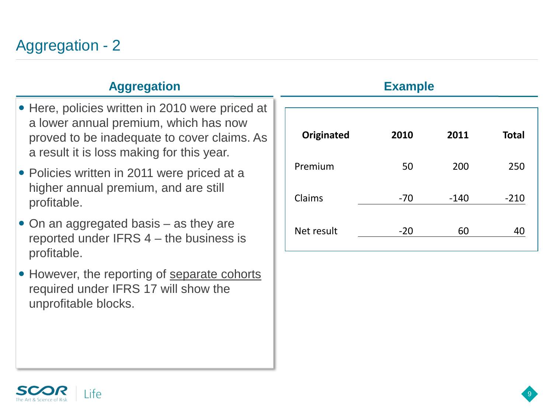#### **Aggregation Example**

- Here, policies written in 2010 were priced at a lower annual premium, which has now proved to be inadequate to cover claims. As a result it is loss making for this year.
- Policies written in 2011 were priced at a higher annual premium, and are still profitable.
- On an aggregated basis as they are reported under IFRS 4 – the business is profitable.
- However, the reporting of separate cohorts required under IFRS 17 will show the unprofitable blocks.

| <b>Originated</b> | 2010  | 2011   | <b>Total</b> |
|-------------------|-------|--------|--------------|
| Premium           | 50    | 200    | 250          |
| Claims            | $-70$ | $-140$ | $-210$       |
| Net result        | $-20$ | 60     |              |



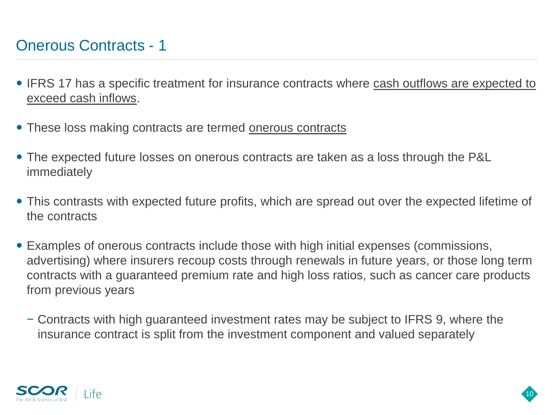### Onerous Contracts - 1

- IFRS 17 has a specific treatment for insurance contracts where cash outflows are expected to exceed cash inflows.
- These loss making contracts are termed onerous contracts
- The expected future losses on onerous contracts are taken as a loss through the P&L immediately
- This contrasts with expected future profits, which are spread out over the expected lifetime of the contracts
- Examples of onerous contracts include those with high initial expenses (commissions, advertising) where insurers recoup costs through renewals in future years, or those long term contracts with a guaranteed premium rate and high loss ratios, such as cancer care products from previous years
	- − Contracts with high guaranteed investment rates may be subject to IFRS 9, where the insurance contract is split from the investment component and valued separately

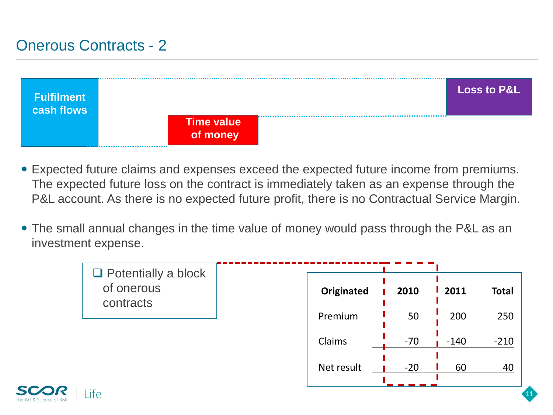### Onerous Contracts - 2



- Expected future claims and expenses exceed the expected future income from premiums. The expected future loss on the contract is immediately taken as an expense through the P&L account. As there is no expected future profit, there is no Contractual Service Margin.
- The small annual changes in the time value of money would pass through the P&L as an investment expense.

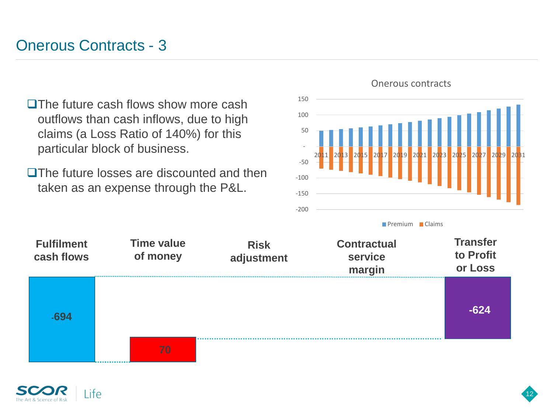### Onerous Contracts - 3

- $\square$  The future cash flows show more cash outflows than cash inflows, due to high claims (a Loss Ratio of 140%) for this particular block of business.
- **OThe future losses are discounted and then** taken as an expense through the P&L.



Onerous contracts

**Premium Claims** 



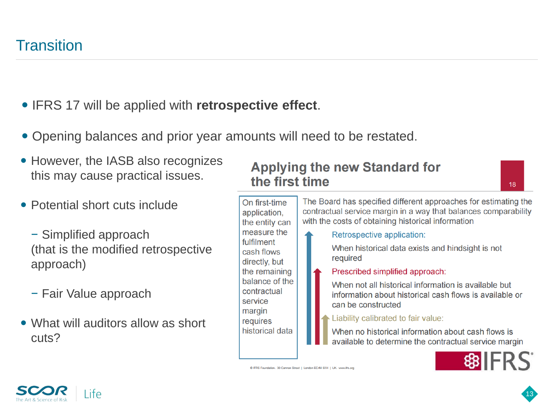#### **• IFRS 17 will be applied with retrospective effect.**

- Opening balances and prior year amounts will need to be restated.
- However, the IASB also recognizes this may cause practical issues.
- Potential short cuts include
	- − Simplified approach (that is the modified retrospective approach)
	- − Fair Value approach
- What will auditors allow as short cuts?

#### **Applying the new Standard for** the first time

13



© IFRS Foundation, 30 Cannon Street | London EC4M 6XH | UK, www.ifrs.org

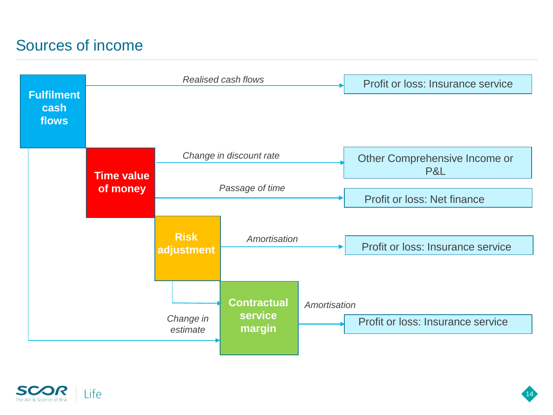### Sources of income





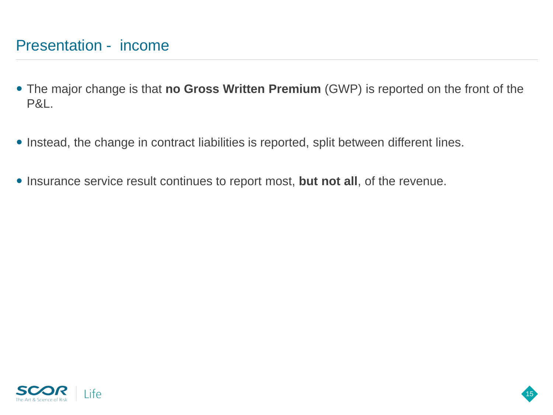### Presentation - income

- The major change is that **no Gross Written Premium** (GWP) is reported on the front of the P&L.
- Instead, the change in contract liabilities is reported, split between different lines.
- **Insurance service result continues to report most, but not all, of the revenue.**

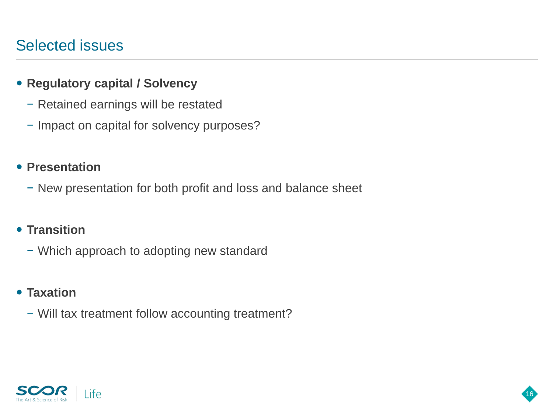### Selected issues

#### **Regulatory capital / Solvency**

- − Retained earnings will be restated
- − Impact on capital for solvency purposes?

#### **• Presentation**

− New presentation for both profit and loss and balance sheet

16

#### **• Transition**

− Which approach to adopting new standard

#### **Taxation**

− Will tax treatment follow accounting treatment?

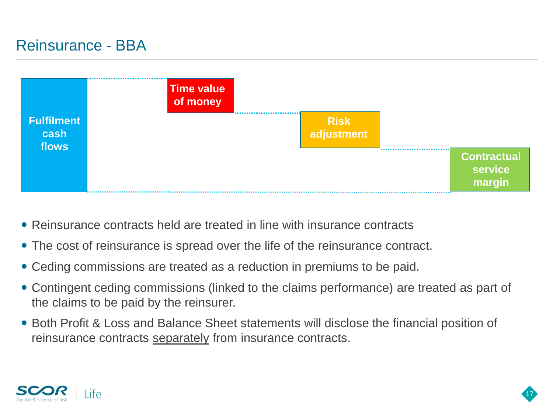### Reinsurance - BBA



- Reinsurance contracts held are treated in line with insurance contracts
- The cost of reinsurance is spread over the life of the reinsurance contract.
- Ceding commissions are treated as a reduction in premiums to be paid.
- Contingent ceding commissions (linked to the claims performance) are treated as part of the claims to be paid by the reinsurer.
- Both Profit & Loss and Balance Sheet statements will disclose the financial position of reinsurance contracts separately from insurance contracts.

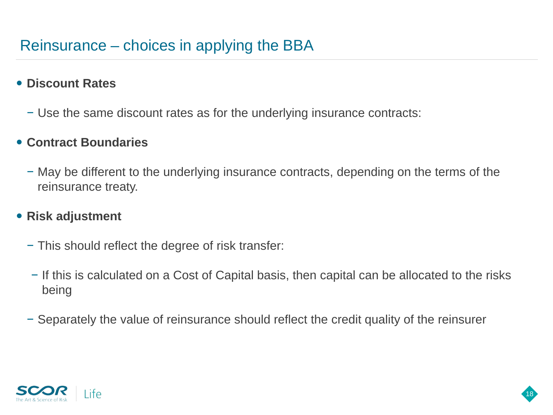#### **Discount Rates**

− Use the same discount rates as for the underlying insurance contracts:

#### **Contract Boundaries**

− May be different to the underlying insurance contracts, depending on the terms of the reinsurance treaty.

#### **Risk adjustment**

- − This should reflect the degree of risk transfer:
- − If this is calculated on a Cost of Capital basis, then capital can be allocated to the risks being

18

− Separately the value of reinsurance should reflect the credit quality of the reinsurer

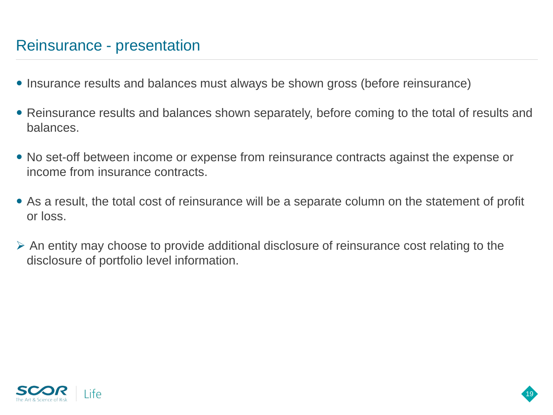### Reinsurance - presentation

- Insurance results and balances must always be shown gross (before reinsurance)
- Reinsurance results and balances shown separately, before coming to the total of results and balances.
- No set-off between income or expense from reinsurance contracts against the expense or income from insurance contracts.
- As a result, the total cost of reinsurance will be a separate column on the statement of profit or loss.
- $\triangleright$  An entity may choose to provide additional disclosure of reinsurance cost relating to the disclosure of portfolio level information.

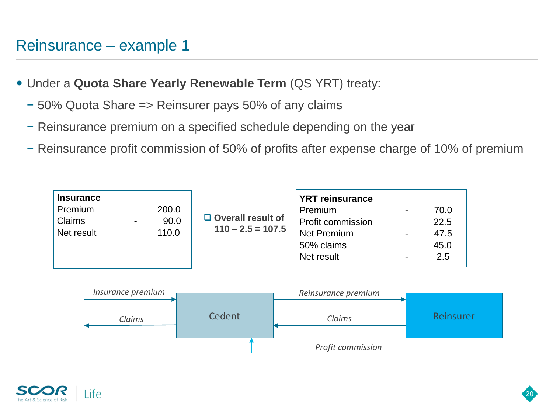### Reinsurance – example 1

- Under a **Quota Share Yearly Renewable Term** (QS YRT) treaty:
	- − 50% Quota Share => Reinsurer pays 50% of any claims
	- − Reinsurance premium on a specified schedule depending on the year
	- − Reinsurance profit commission of 50% of profits after expense charge of 10% of premium



*Profit commission*

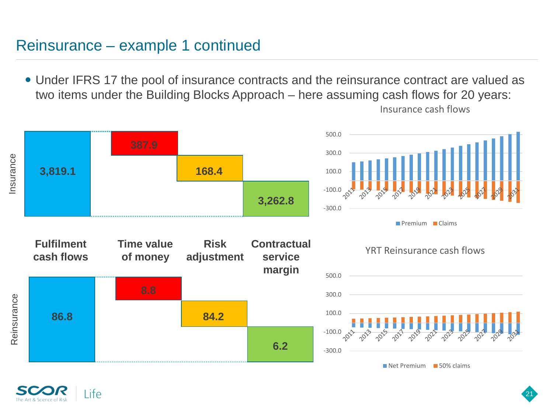### Reinsurance – example 1 continued

 Under IFRS 17 the pool of insurance contracts and the reinsurance contract are valued as two items under the Building Blocks Approach – here assuming cash flows for 20 years:



Insurance cash flows

21

Reinsurance Reinsurance

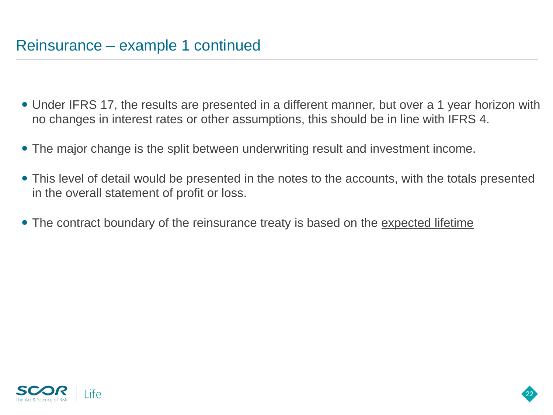- Under IFRS 17, the results are presented in a different manner, but over a 1 year horizon with no changes in interest rates or other assumptions, this should be in line with IFRS 4.
- The major change is the split between underwriting result and investment income.
- This level of detail would be presented in the notes to the accounts, with the totals presented in the overall statement of profit or loss.

22

• The contract boundary of the reinsurance treaty is based on the expected lifetime

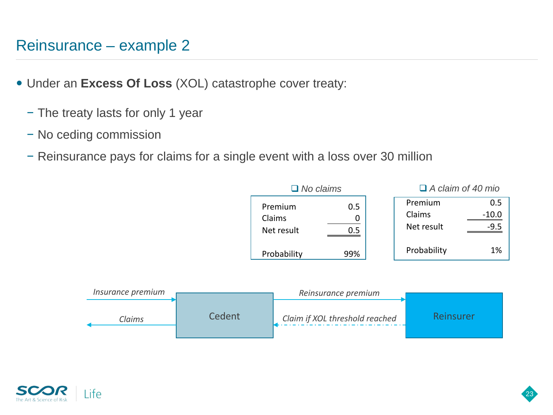### Reinsurance – example 2

- Under an **Excess Of Loss** (XOL) catastrophe cover treaty:
	- − The treaty lasts for only 1 year
	- − No ceding commission
	- − Reinsurance pays for claims for a single event with a loss over 30 million

|                                 | $\Box$ No claims |                                 | $\Box$ A claim of 40 mio |  |
|---------------------------------|------------------|---------------------------------|--------------------------|--|
| Premium<br>Claims<br>Net result | 0.5<br>0.5       | Premium<br>Claims<br>Net result | 0.5<br>$-10.0$<br>-9.5   |  |
| Probability                     | 99%              | Probability                     | 1%                       |  |



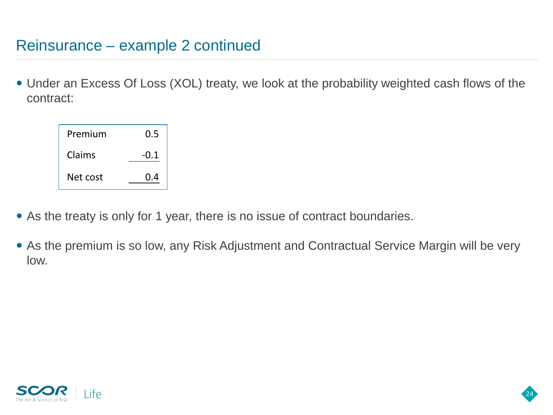### Reinsurance – example 2 continued

 Under an Excess Of Loss (XOL) treaty, we look at the probability weighted cash flows of the contract:



- As the treaty is only for 1 year, there is no issue of contract boundaries.
- As the premium is so low, any Risk Adjustment and Contractual Service Margin will be very low.

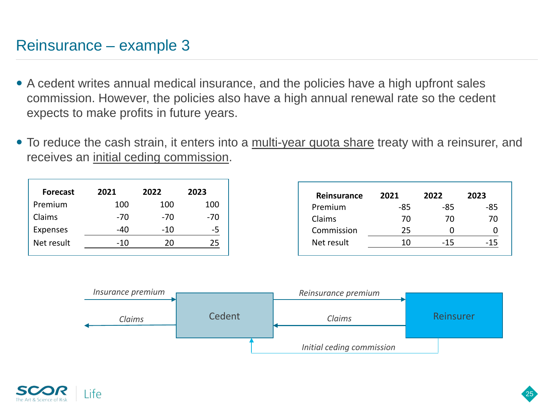### Reinsurance – example 3

- A cedent writes annual medical insurance, and the policies have a high upfront sales commission. However, the policies also have a high annual renewal rate so the cedent expects to make profits in future years.
- To reduce the cash strain, it enters into a *multi-year quota share* treaty with a reinsurer, and receives an initial ceding commission.

| <b>Forecast</b> | 2021  | 2022  | 2023 |
|-----------------|-------|-------|------|
| Premium         | 100   | 100   | 100  |
| Claims          | -70   | -70   | -70  |
| <b>Expenses</b> | -40   | $-10$ | -5   |
| Net result      | $-10$ | 20    | 25   |

| Reinsurance | 2021 | 2022 | 2023 |
|-------------|------|------|------|
| Premium     | -85  | -85  | -85  |
| Claims      | 70   | 70   | 70   |
| Commission  | 25   |      |      |
| Net result  | 10   | -15  | -15  |



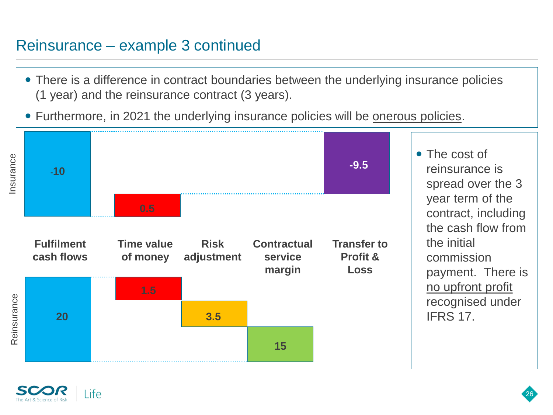### Reinsurance – example 3 continued

- There is a difference in contract boundaries between the underlying insurance policies (1 year) and the reinsurance contract (3 years).
- Furthermore, in 2021 the underlying insurance policies will be onerous policies.



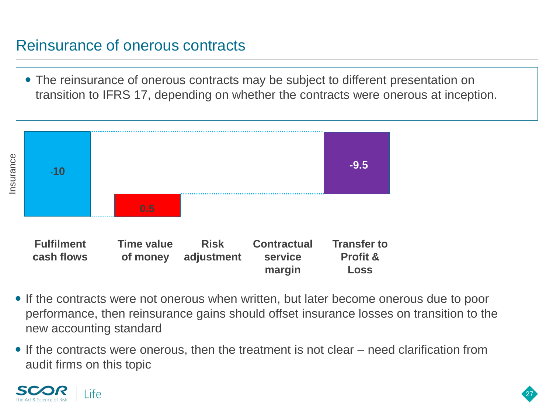### Reinsurance of onerous contracts

 The reinsurance of onerous contracts may be subject to different presentation on transition to IFRS 17, depending on whether the contracts were onerous at inception.



- If the contracts were not onerous when written, but later become onerous due to poor performance, then reinsurance gains should offset insurance losses on transition to the new accounting standard
- If the contracts were onerous, then the treatment is not clear need clarification from audit firms on this topic

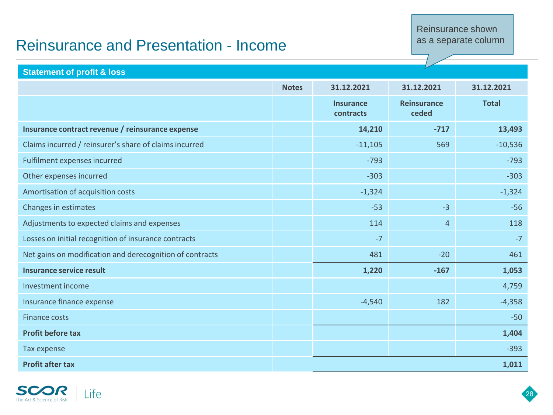#### Reinsurance shown as a separate column

### Reinsurance and Presentation - Income

**Statement of profit & loss**

| Statement of profit & loss                               |              |                               |                             |              |
|----------------------------------------------------------|--------------|-------------------------------|-----------------------------|--------------|
|                                                          | <b>Notes</b> | 31.12.2021                    | 31.12.2021                  | 31.12.2021   |
|                                                          |              | <b>Insurance</b><br>contracts | <b>Reinsurance</b><br>ceded | <b>Total</b> |
| Insurance contract revenue / reinsurance expense         |              | 14,210                        | $-717$                      | 13,493       |
| Claims incurred / reinsurer's share of claims incurred   |              | $-11,105$                     | 569                         | $-10,536$    |
| Fulfilment expenses incurred                             |              | $-793$                        |                             | $-793$       |
| Other expenses incurred                                  |              | $-303$                        |                             | $-303$       |
| Amortisation of acquisition costs                        |              | $-1,324$                      |                             | $-1,324$     |
| Changes in estimates                                     |              | $-53$                         | $-3$                        | $-56$        |
| Adjustments to expected claims and expenses              |              | 114                           | $\overline{4}$              | 118          |
| Losses on initial recognition of insurance contracts     |              | $-7$                          |                             | $-7$         |
| Net gains on modification and derecognition of contracts |              | 481                           | $-20$                       | 461          |
| <b>Insurance service result</b>                          |              | 1,220                         | $-167$                      | 1,053        |
| Investment income                                        |              |                               |                             | 4,759        |
| Insurance finance expense                                |              | $-4,540$                      | 182                         | $-4,358$     |
| <b>Finance costs</b>                                     |              |                               |                             | $-50$        |
| <b>Profit before tax</b>                                 |              |                               |                             | 1,404        |
| Tax expense                                              |              |                               |                             | $-393$       |
| <b>Profit after tax</b>                                  |              |                               |                             | 1,011        |

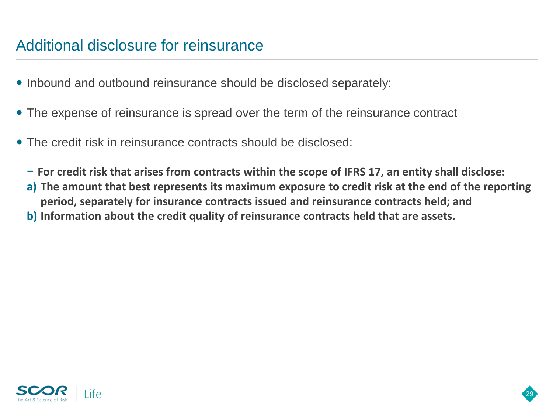### Additional disclosure for reinsurance

- Inbound and outbound reinsurance should be disclosed separately:
- The expense of reinsurance is spread over the term of the reinsurance contract
- The credit risk in reinsurance contracts should be disclosed:
	- − **For credit risk that arises from contracts within the scope of IFRS 17, an entity shall disclose:**
	- **a) The amount that best represents its maximum exposure to credit risk at the end of the reporting period, separately for insurance contracts issued and reinsurance contracts held; and**

29

**b) Information about the credit quality of reinsurance contracts held that are assets.** 

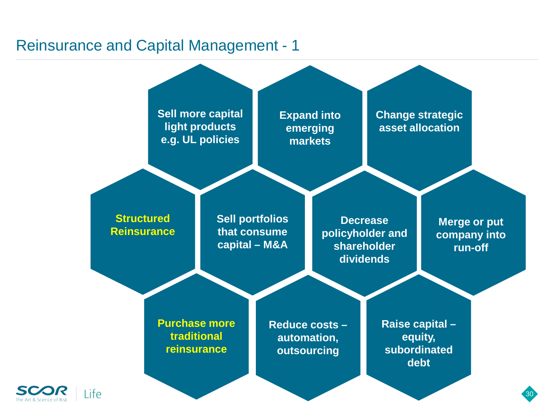### Reinsurance and Capital Management - 1



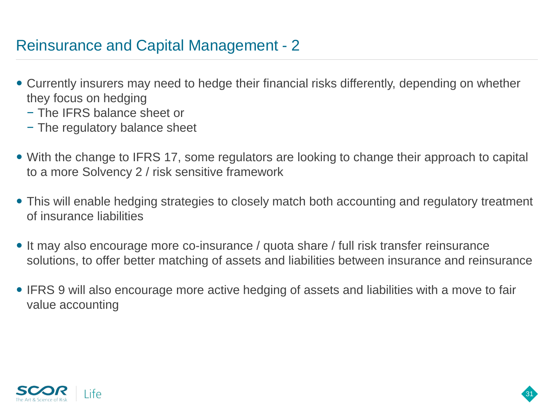### Reinsurance and Capital Management - 2

- Currently insurers may need to hedge their financial risks differently, depending on whether they focus on hedging
	- − The IFRS balance sheet or
	- − The regulatory balance sheet
- With the change to IFRS 17, some regulators are looking to change their approach to capital to a more Solvency 2 / risk sensitive framework
- This will enable hedging strategies to closely match both accounting and regulatory treatment of insurance liabilities
- It may also encourage more co-insurance / quota share / full risk transfer reinsurance solutions, to offer better matching of assets and liabilities between insurance and reinsurance
- IFRS 9 will also encourage more active hedging of assets and liabilities with a move to fair value accounting

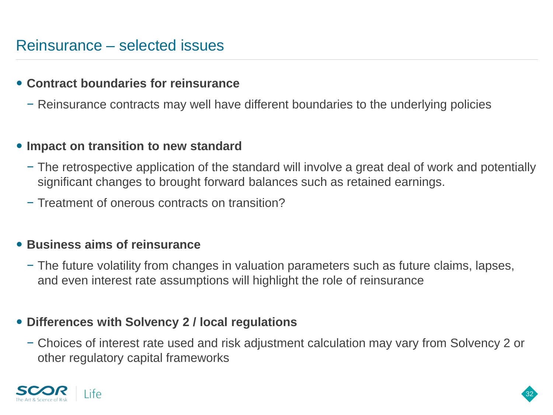#### **Contract boundaries for reinsurance**

− Reinsurance contracts may well have different boundaries to the underlying policies

#### **Impact on transition to new standard**

- − The retrospective application of the standard will involve a great deal of work and potentially significant changes to brought forward balances such as retained earnings.
- − Treatment of onerous contracts on transition?

#### **Business aims of reinsurance**

− The future volatility from changes in valuation parameters such as future claims, lapses, and even interest rate assumptions will highlight the role of reinsurance

#### **Differences with Solvency 2 / local regulations**

− Choices of interest rate used and risk adjustment calculation may vary from Solvency 2 or other regulatory capital frameworks



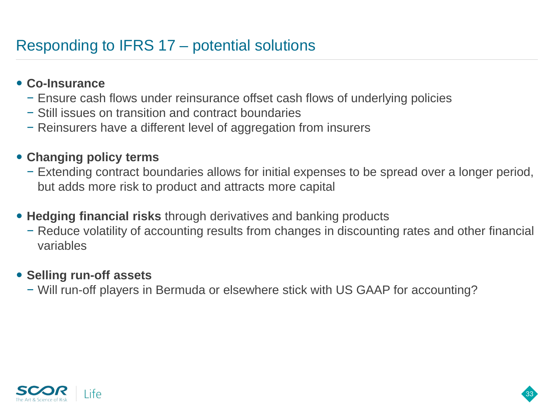### Responding to IFRS 17 – potential solutions

#### **Co-Insurance**

- − Ensure cash flows under reinsurance offset cash flows of underlying policies
- − Still issues on transition and contract boundaries
- − Reinsurers have a different level of aggregation from insurers

#### **Changing policy terms**

- − Extending contract boundaries allows for initial expenses to be spread over a longer period, but adds more risk to product and attracts more capital
- **Hedging financial risks** through derivatives and banking products
	- − Reduce volatility of accounting results from changes in discounting rates and other financial variables

33

#### **• Selling run-off assets**

− Will run-off players in Bermuda or elsewhere stick with US GAAP for accounting?